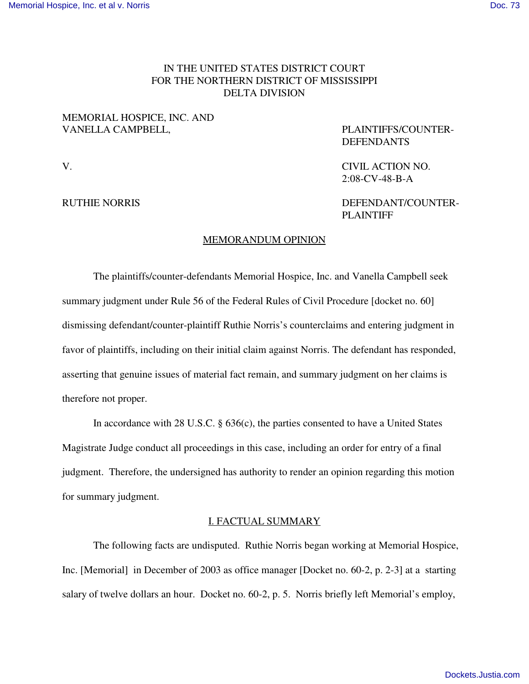# IN THE UNITED STATES DISTRICT COURT FOR THE NORTHERN DISTRICT OF MISSISSIPPI DELTA DIVISION

## MEMORIAL HOSPICE, INC. AND VANELLA CAMPBELL, PLAINTIFFS/COUNTER-

DEFENDANTS

V. CIVIL ACTION NO. 2:08-CV-48-B-A

RUTHIE NORRIS DEFENDANT/COUNTER-PLAINTIFF

## MEMORANDUM OPINION

The plaintiffs/counter-defendants Memorial Hospice, Inc. and Vanella Campbell seek summary judgment under Rule 56 of the Federal Rules of Civil Procedure [docket no. 60] dismissing defendant/counter-plaintiff Ruthie Norris's counterclaims and entering judgment in favor of plaintiffs, including on their initial claim against Norris. The defendant has responded, asserting that genuine issues of material fact remain, and summary judgment on her claims is therefore not proper.

In accordance with 28 U.S.C. § 636(c), the parties consented to have a United States Magistrate Judge conduct all proceedings in this case, including an order for entry of a final judgment. Therefore, the undersigned has authority to render an opinion regarding this motion for summary judgment.

## I. FACTUAL SUMMARY

The following facts are undisputed. Ruthie Norris began working at Memorial Hospice, Inc. [Memorial] in December of 2003 as office manager [Docket no. 60-2, p. 2-3] at a starting salary of twelve dollars an hour. Docket no. 60-2, p. 5. Norris briefly left Memorial's employ,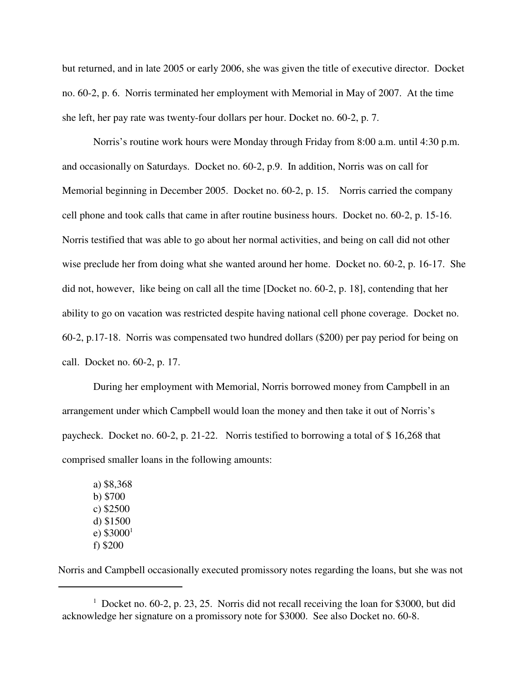but returned, and in late 2005 or early 2006, she was given the title of executive director. Docket no. 60-2, p. 6. Norris terminated her employment with Memorial in May of 2007. At the time she left, her pay rate was twenty-four dollars per hour. Docket no. 60-2, p. 7.

Norris's routine work hours were Monday through Friday from 8:00 a.m. until 4:30 p.m. and occasionally on Saturdays. Docket no. 60-2, p.9. In addition, Norris was on call for Memorial beginning in December 2005. Docket no. 60-2, p. 15. Norris carried the company cell phone and took calls that came in after routine business hours. Docket no. 60-2, p. 15-16. Norris testified that was able to go about her normal activities, and being on call did not other wise preclude her from doing what she wanted around her home. Docket no. 60-2, p. 16-17. She did not, however, like being on call all the time [Docket no. 60-2, p. 18], contending that her ability to go on vacation was restricted despite having national cell phone coverage. Docket no. 60-2, p.17-18. Norris was compensated two hundred dollars (\$200) per pay period for being on call. Docket no. 60-2, p. 17.

During her employment with Memorial, Norris borrowed money from Campbell in an arrangement under which Campbell would loan the money and then take it out of Norris's paycheck. Docket no. 60-2, p. 21-22. Norris testified to borrowing a total of \$ 16,268 that comprised smaller loans in the following amounts:

a) \$8,368 b) \$700 c) \$2500 d) \$1500 e)  $$3000^1$ f) \$200

Norris and Campbell occasionally executed promissory notes regarding the loans, but she was not

<sup>&</sup>lt;sup>1</sup> Docket no. 60-2, p. 23, 25. Norris did not recall receiving the loan for \$3000, but did acknowledge her signature on a promissory note for \$3000. See also Docket no. 60-8.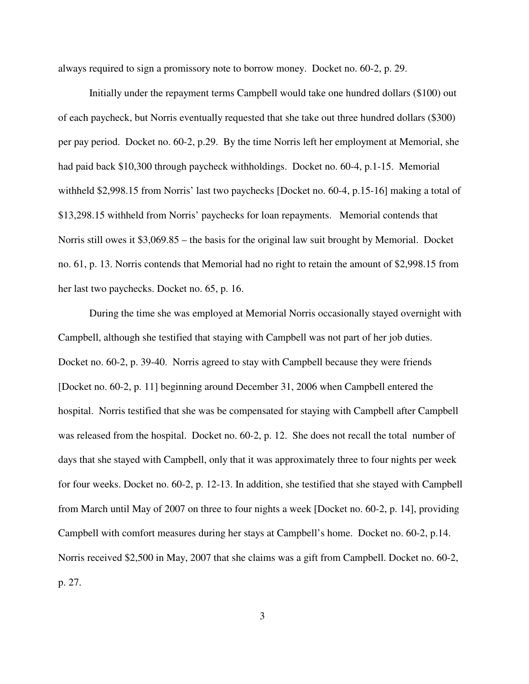always required to sign a promissory note to borrow money. Docket no. 60-2, p. 29.

Initially under the repayment terms Campbell would take one hundred dollars (\$100) out of each paycheck, but Norris eventually requested that she take out three hundred dollars (\$300) per pay period. Docket no. 60-2, p.29. By the time Norris left her employment at Memorial, she had paid back \$10,300 through paycheck withholdings. Docket no. 60-4, p.1-15. Memorial withheld \$2,998.15 from Norris' last two paychecks [Docket no. 60-4, p.15-16] making a total of \$13,298.15 withheld from Norris' paychecks for loan repayments. Memorial contends that Norris still owes it \$3,069.85 – the basis for the original law suit brought by Memorial. Docket no. 61, p. 13. Norris contends that Memorial had no right to retain the amount of \$2,998.15 from her last two paychecks. Docket no. 65, p. 16.

During the time she was employed at Memorial Norris occasionally stayed overnight with Campbell, although she testified that staying with Campbell was not part of her job duties. Docket no. 60-2, p. 39-40. Norris agreed to stay with Campbell because they were friends [Docket no. 60-2, p. 11] beginning around December 31, 2006 when Campbell entered the hospital. Norris testified that she was be compensated for staying with Campbell after Campbell was released from the hospital. Docket no. 60-2, p. 12. She does not recall the total number of days that she stayed with Campbell, only that it was approximately three to four nights per week for four weeks. Docket no. 60-2, p. 12-13. In addition, she testified that she stayed with Campbell from March until May of 2007 on three to four nights a week [Docket no. 60-2, p. 14], providing Campbell with comfort measures during her stays at Campbell's home. Docket no. 60-2, p.14. Norris received \$2,500 in May, 2007 that she claims was a gift from Campbell. Docket no. 60-2, p. 27.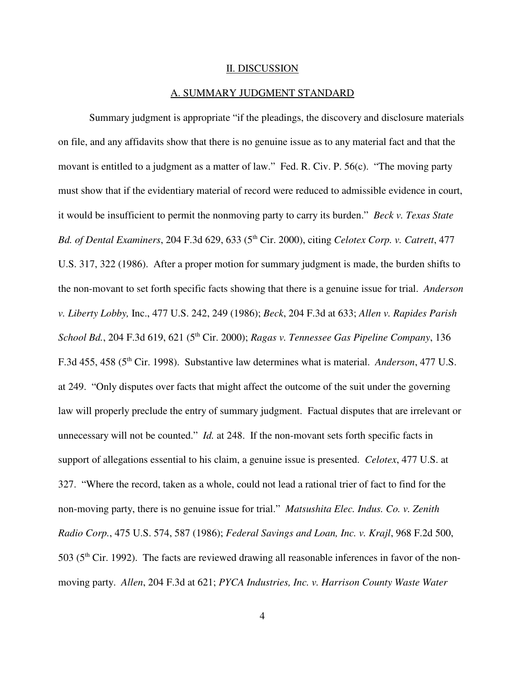#### II. DISCUSSION

#### A. SUMMARY JUDGMENT STANDARD

Summary judgment is appropriate "if the pleadings, the discovery and disclosure materials on file, and any affidavits show that there is no genuine issue as to any material fact and that the movant is entitled to a judgment as a matter of law." Fed. R. Civ. P. 56(c). "The moving party must show that if the evidentiary material of record were reduced to admissible evidence in court, it would be insufficient to permit the nonmoving party to carry its burden." *Beck v. Texas State Bd. of Dental Examiners*, 204 F.3d 629, 633 (5 th Cir. 2000), citing *Celotex Corp. v. Catrett*, 477 U.S. 317, 322 (1986). After a proper motion for summary judgment is made, the burden shifts to the non-movant to set forth specific facts showing that there is a genuine issue for trial. *Anderson v. Liberty Lobby,* Inc., 477 U.S. 242, 249 (1986); *Beck*, 204 F.3d at 633; *Allen v. Rapides Parish School Bd.*, 204 F.3d 619, 621 (5 th Cir. 2000); *Ragas v. Tennessee Gas Pipeline Company*, 136 F.3d 455, 458 (5<sup>th</sup> Cir. 1998). Substantive law determines what is material. *Anderson*, 477 U.S. at 249. "Only disputes over facts that might affect the outcome of the suit under the governing law will properly preclude the entry of summary judgment. Factual disputes that are irrelevant or unnecessary will not be counted." *Id.* at 248. If the non-movant sets forth specific facts in support of allegations essential to his claim, a genuine issue is presented. *Celotex*, 477 U.S. at 327. "Where the record, taken as a whole, could not lead a rational trier of fact to find for the non-moving party, there is no genuine issue for trial." *Matsushita Elec. Indus. Co. v. Zenith Radio Corp.*, 475 U.S. 574, 587 (1986); *Federal Savings and Loan, Inc. v. Krajl*, 968 F.2d 500, 503 (5<sup>th</sup> Cir. 1992). The facts are reviewed drawing all reasonable inferences in favor of the nonmoving party. *Allen*, 204 F.3d at 621; *PYCA Industries, Inc. v. Harrison County Waste Water*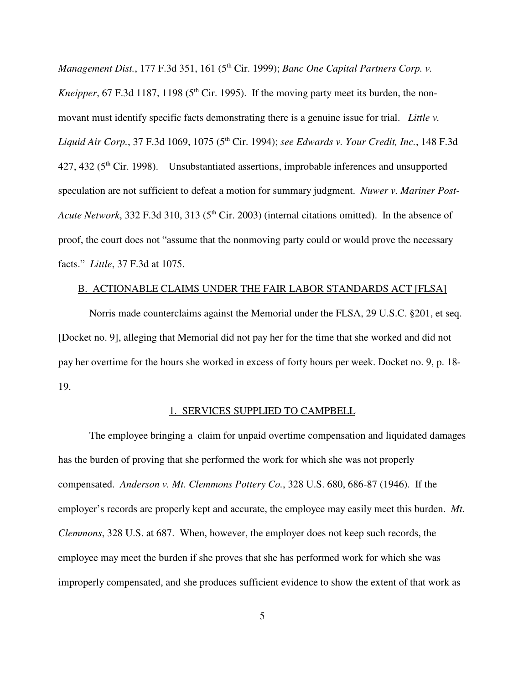*Management Dist.*, 177 F.3d 351, 161 (5 th Cir. 1999); *Banc One Capital Partners Corp. v. Kneipper*, 67 F.3d 1187, 1198 (5<sup>th</sup> Cir. 1995). If the moving party meet its burden, the nonmovant must identify specific facts demonstrating there is a genuine issue for trial. *Little v. Liquid Air Corp.*, 37 F.3d 1069, 1075 (5 th Cir. 1994); *see Edwards v. Your Credit, Inc.*, 148 F.3d 427, 432 (5<sup>th</sup> Cir. 1998). Unsubstantiated assertions, improbable inferences and unsupported speculation are not sufficient to defeat a motion for summary judgment. *Nuwer v. Mariner Post-*Acute Network, 332 F.3d 310, 313 (5<sup>th</sup> Cir. 2003) (internal citations omitted). In the absence of proof, the court does not "assume that the nonmoving party could or would prove the necessary facts." *Little*, 37 F.3d at 1075.

## B. ACTIONABLE CLAIMS UNDER THE FAIR LABOR STANDARDS ACT [FLSA]

Norris made counterclaims against the Memorial under the FLSA, 29 U.S.C. §201, et seq. [Docket no. 9], alleging that Memorial did not pay her for the time that she worked and did not pay her overtime for the hours she worked in excess of forty hours per week. Docket no. 9, p. 18- 19.

## 1. SERVICES SUPPLIED TO CAMPBELL

The employee bringing a claim for unpaid overtime compensation and liquidated damages has the burden of proving that she performed the work for which she was not properly compensated. *Anderson v. Mt. Clemmons Pottery Co.*, 328 U.S. 680, 686-87 (1946). If the employer's records are properly kept and accurate, the employee may easily meet this burden. *Mt. Clemmons*, 328 U.S. at 687. When, however, the employer does not keep such records, the employee may meet the burden if she proves that she has performed work for which she was improperly compensated, and she produces sufficient evidence to show the extent of that work as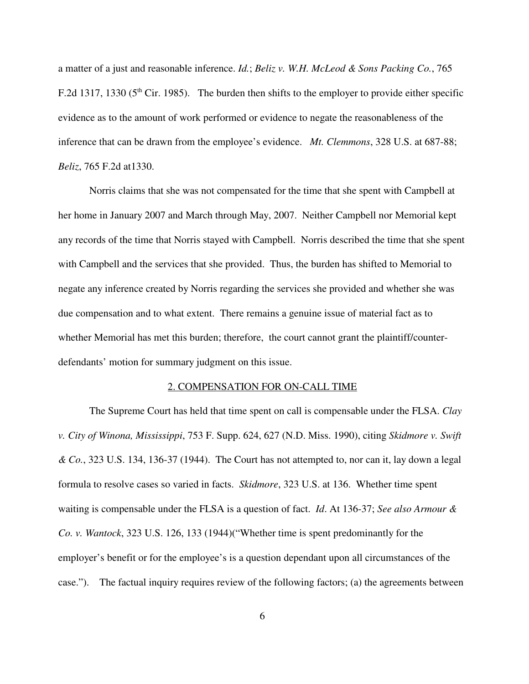a matter of a just and reasonable inference. *Id.*; *Beliz v. W.H. McLeod & Sons Packing Co.*, 765 F.2d 1317, 1330 ( $5<sup>th</sup>$  Cir. 1985). The burden then shifts to the employer to provide either specific evidence as to the amount of work performed or evidence to negate the reasonableness of the inference that can be drawn from the employee's evidence. *Mt. Clemmons*, 328 U.S. at 687-88; *Beliz*, 765 F.2d at1330.

Norris claims that she was not compensated for the time that she spent with Campbell at her home in January 2007 and March through May, 2007. Neither Campbell nor Memorial kept any records of the time that Norris stayed with Campbell. Norris described the time that she spent with Campbell and the services that she provided. Thus, the burden has shifted to Memorial to negate any inference created by Norris regarding the services she provided and whether she was due compensation and to what extent. There remains a genuine issue of material fact as to whether Memorial has met this burden; therefore, the court cannot grant the plaintiff/counterdefendants' motion for summary judgment on this issue.

## 2. COMPENSATION FOR ON-CALL TIME

The Supreme Court has held that time spent on call is compensable under the FLSA. *Clay v. City of Winona, Mississippi*, 753 F. Supp. 624, 627 (N.D. Miss. 1990), citing *Skidmore v. Swift & Co.*, 323 U.S. 134, 136-37 (1944). The Court has not attempted to, nor can it, lay down a legal formula to resolve cases so varied in facts. *Skidmore*, 323 U.S. at 136. Whether time spent waiting is compensable under the FLSA is a question of fact. *Id*. At 136-37; *See also Armour & Co. v. Wantock*, 323 U.S. 126, 133 (1944)("Whether time is spent predominantly for the employer's benefit or for the employee's is a question dependant upon all circumstances of the case."). The factual inquiry requires review of the following factors; (a) the agreements between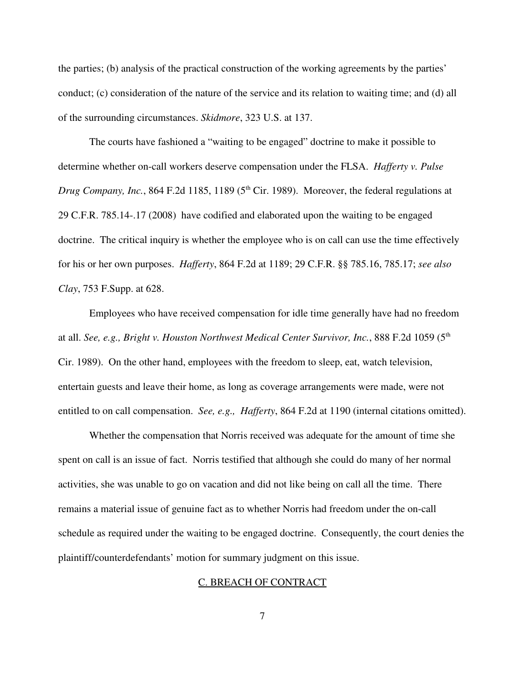the parties; (b) analysis of the practical construction of the working agreements by the parties' conduct; (c) consideration of the nature of the service and its relation to waiting time; and (d) all of the surrounding circumstances. *Skidmore*, 323 U.S. at 137.

The courts have fashioned a "waiting to be engaged" doctrine to make it possible to determine whether on-call workers deserve compensation under the FLSA. *Hafferty v. Pulse Drug Company, Inc.*, 864 F.2d 1185, 1189 (5 th Cir. 1989). Moreover, the federal regulations at 29 C.F.R. 785.14-.17 (2008) have codified and elaborated upon the waiting to be engaged doctrine. The critical inquiry is whether the employee who is on call can use the time effectively for his or her own purposes. *Hafferty*, 864 F.2d at 1189; 29 C.F.R. §§ 785.16, 785.17; *see also Clay*, 753 F.Supp. at 628.

Employees who have received compensation for idle time generally have had no freedom at all. *See, e.g., Bright v. Houston Northwest Medical Center Survivor, Inc.*, 888 F.2d 1059 (5 th Cir. 1989). On the other hand, employees with the freedom to sleep, eat, watch television, entertain guests and leave their home, as long as coverage arrangements were made, were not entitled to on call compensation. *See, e.g., Hafferty*, 864 F.2d at 1190 (internal citations omitted).

Whether the compensation that Norris received was adequate for the amount of time she spent on call is an issue of fact. Norris testified that although she could do many of her normal activities, she was unable to go on vacation and did not like being on call all the time. There remains a material issue of genuine fact as to whether Norris had freedom under the on-call schedule as required under the waiting to be engaged doctrine. Consequently, the court denies the plaintiff/counterdefendants' motion for summary judgment on this issue.

## C. BREACH OF CONTRACT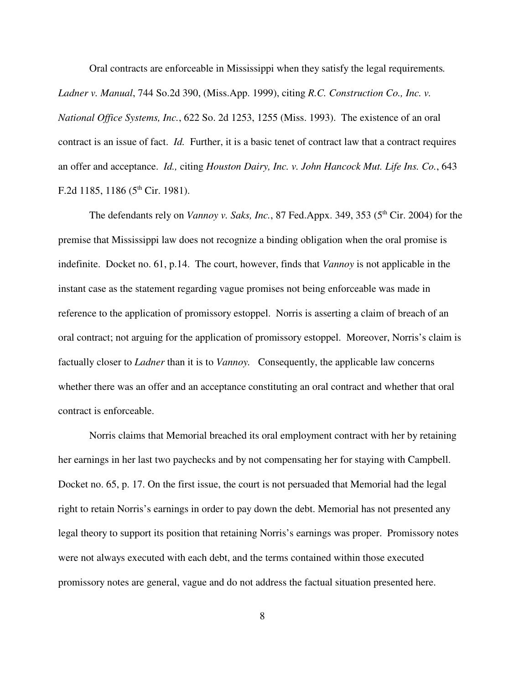Oral contracts are enforceable in Mississippi when they satisfy the legal requirements*. Ladner v. Manual*, 744 So.2d 390, (Miss.App. 1999), citing *R.C. Construction Co., Inc. v. National Office Systems, Inc.*, 622 So. 2d 1253, 1255 (Miss. 1993). The existence of an oral contract is an issue of fact. *Id.* Further, it is a basic tenet of contract law that a contract requires an offer and acceptance. *Id.,* citing *Houston Dairy, Inc. v. John Hancock Mut. Life Ins. Co.*, 643 F.2d 1185, 1186 (5<sup>th</sup> Cir. 1981).

The defendants rely on *Vannoy v. Saks, Inc.*, 87 Fed.Appx. 349, 353 (5 th Cir. 2004) for the premise that Mississippi law does not recognize a binding obligation when the oral promise is indefinite. Docket no. 61, p.14. The court, however, finds that *Vannoy* is not applicable in the instant case as the statement regarding vague promises not being enforceable was made in reference to the application of promissory estoppel. Norris is asserting a claim of breach of an oral contract; not arguing for the application of promissory estoppel. Moreover, Norris's claim is factually closer to *Ladner* than it is to *Vannoy.* Consequently, the applicable law concerns whether there was an offer and an acceptance constituting an oral contract and whether that oral contract is enforceable.

Norris claims that Memorial breached its oral employment contract with her by retaining her earnings in her last two paychecks and by not compensating her for staying with Campbell. Docket no. 65, p. 17. On the first issue, the court is not persuaded that Memorial had the legal right to retain Norris's earnings in order to pay down the debt. Memorial has not presented any legal theory to support its position that retaining Norris's earnings was proper. Promissory notes were not always executed with each debt, and the terms contained within those executed promissory notes are general, vague and do not address the factual situation presented here.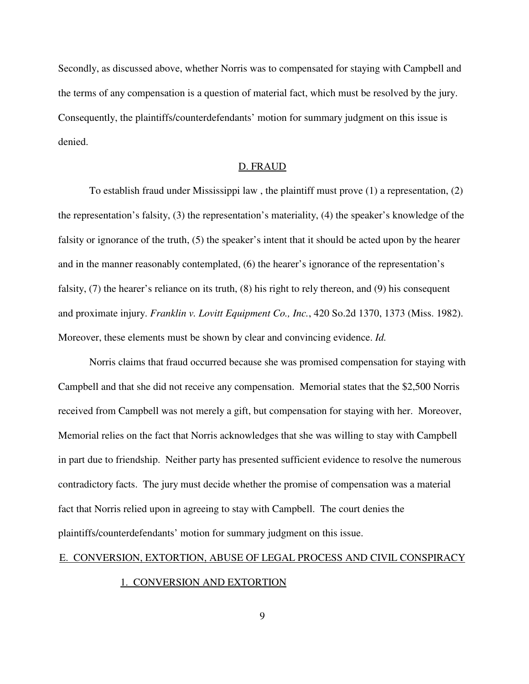Secondly, as discussed above, whether Norris was to compensated for staying with Campbell and the terms of any compensation is a question of material fact, which must be resolved by the jury. Consequently, the plaintiffs/counterdefendants' motion for summary judgment on this issue is denied.

### D. FRAUD

To establish fraud under Mississippi law , the plaintiff must prove (1) a representation, (2) the representation's falsity, (3) the representation's materiality, (4) the speaker's knowledge of the falsity or ignorance of the truth, (5) the speaker's intent that it should be acted upon by the hearer and in the manner reasonably contemplated, (6) the hearer's ignorance of the representation's falsity, (7) the hearer's reliance on its truth, (8) his right to rely thereon, and (9) his consequent and proximate injury. *Franklin v. Lovitt Equipment Co., Inc.*, 420 So.2d 1370, 1373 (Miss. 1982). Moreover, these elements must be shown by clear and convincing evidence. *Id.*

Norris claims that fraud occurred because she was promised compensation for staying with Campbell and that she did not receive any compensation. Memorial states that the \$2,500 Norris received from Campbell was not merely a gift, but compensation for staying with her. Moreover, Memorial relies on the fact that Norris acknowledges that she was willing to stay with Campbell in part due to friendship. Neither party has presented sufficient evidence to resolve the numerous contradictory facts. The jury must decide whether the promise of compensation was a material fact that Norris relied upon in agreeing to stay with Campbell. The court denies the plaintiffs/counterdefendants' motion for summary judgment on this issue.

## E. CONVERSION, EXTORTION, ABUSE OF LEGAL PROCESS AND CIVIL CONSPIRACY

#### 1. CONVERSION AND EXTORTION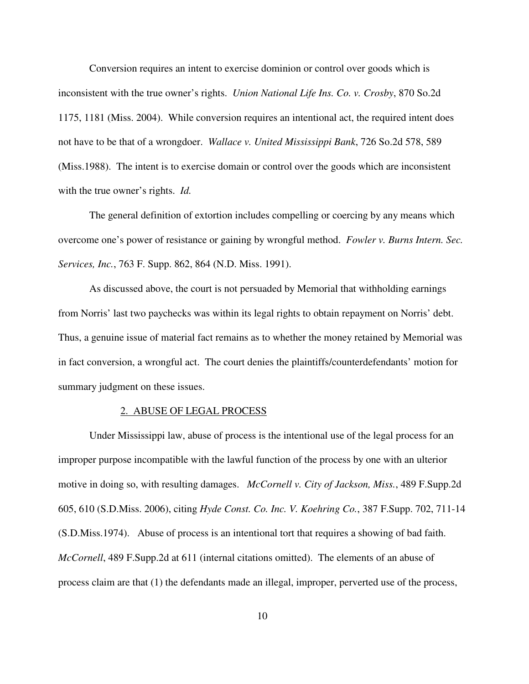Conversion requires an intent to exercise dominion or control over goods which is inconsistent with the true owner's rights. *Union National Life Ins. Co. v. Crosby*, 870 So.2d 1175, 1181 (Miss. 2004). While conversion requires an intentional act, the required intent does not have to be that of a wrongdoer. *Wallace v. United Mississippi Bank*, 726 So.2d 578, 589 (Miss.1988). The intent is to exercise domain or control over the goods which are inconsistent with the true owner's rights. *Id.*

The general definition of extortion includes compelling or coercing by any means which overcome one's power of resistance or gaining by wrongful method. *Fowler v. Burns Intern. Sec. Services, Inc.*, 763 F. Supp. 862, 864 (N.D. Miss. 1991).

As discussed above, the court is not persuaded by Memorial that withholding earnings from Norris' last two paychecks was within its legal rights to obtain repayment on Norris' debt. Thus, a genuine issue of material fact remains as to whether the money retained by Memorial was in fact conversion, a wrongful act. The court denies the plaintiffs/counterdefendants' motion for summary judgment on these issues.

#### 2. ABUSE OF LEGAL PROCESS

Under Mississippi law, abuse of process is the intentional use of the legal process for an improper purpose incompatible with the lawful function of the process by one with an ulterior motive in doing so, with resulting damages. *McCornell v. City of Jackson, Miss.*, 489 F.Supp.2d 605, 610 (S.D.Miss. 2006), citing *Hyde Const. Co. Inc. V. Koehring Co.*, 387 F.Supp. 702, 711-14 (S.D.Miss.1974). Abuse of process is an intentional tort that requires a showing of bad faith. *McCornell*, 489 F.Supp.2d at 611 (internal citations omitted). The elements of an abuse of process claim are that (1) the defendants made an illegal, improper, perverted use of the process,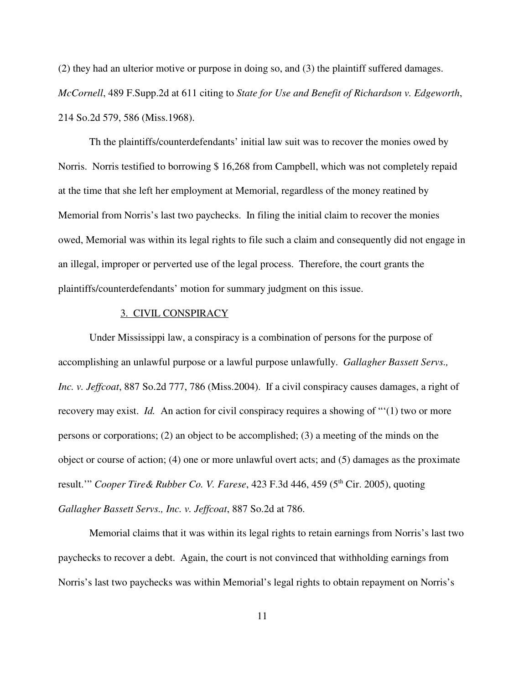(2) they had an ulterior motive or purpose in doing so, and (3) the plaintiff suffered damages. *McCornell*, 489 F.Supp.2d at 611 citing to *State for Use and Benefit of Richardson v. Edgeworth*, 214 So.2d 579, 586 (Miss.1968).

Th the plaintiffs/counterdefendants' initial law suit was to recover the monies owed by Norris. Norris testified to borrowing \$ 16,268 from Campbell, which was not completely repaid at the time that she left her employment at Memorial, regardless of the money reatined by Memorial from Norris's last two paychecks. In filing the initial claim to recover the monies owed, Memorial was within its legal rights to file such a claim and consequently did not engage in an illegal, improper or perverted use of the legal process. Therefore, the court grants the plaintiffs/counterdefendants' motion for summary judgment on this issue.

## 3. CIVIL CONSPIRACY

Under Mississippi law, a conspiracy is a combination of persons for the purpose of accomplishing an unlawful purpose or a lawful purpose unlawfully. *Gallagher Bassett Servs., Inc. v. Jeffcoat*, 887 So.2d 777, 786 (Miss.2004). If a civil conspiracy causes damages, a right of recovery may exist. *Id.* An action for civil conspiracy requires a showing of "'(1) two or more persons or corporations; (2) an object to be accomplished; (3) a meeting of the minds on the object or course of action; (4) one or more unlawful overt acts; and (5) damages as the proximate result.'" *Cooper Tire& Rubber Co. V. Farese*, 423 F.3d 446, 459 (5 th Cir. 2005), quoting *Gallagher Bassett Servs., Inc. v. Jeffcoat*, 887 So.2d at 786.

Memorial claims that it was within its legal rights to retain earnings from Norris's last two paychecks to recover a debt. Again, the court is not convinced that withholding earnings from Norris's last two paychecks was within Memorial's legal rights to obtain repayment on Norris's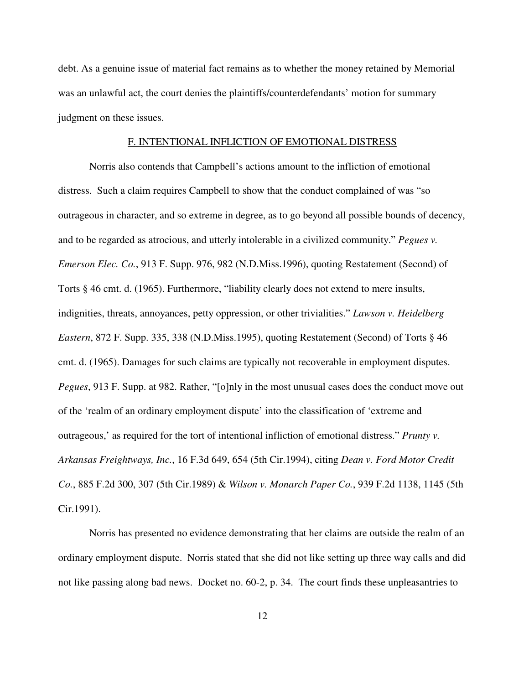debt. As a genuine issue of material fact remains as to whether the money retained by Memorial was an unlawful act, the court denies the plaintiffs/counterdefendants' motion for summary judgment on these issues.

## F. INTENTIONAL INFLICTION OF EMOTIONAL DISTRESS

Norris also contends that Campbell's actions amount to the infliction of emotional distress. Such a claim requires Campbell to show that the conduct complained of was "so outrageous in character, and so extreme in degree, as to go beyond all possible bounds of decency, and to be regarded as atrocious, and utterly intolerable in a civilized community." *Pegues v. Emerson Elec. Co.*, 913 F. Supp. 976, 982 (N.D.Miss.1996), quoting Restatement (Second) of Torts § 46 cmt. d. (1965). Furthermore, "liability clearly does not extend to mere insults, indignities, threats, annoyances, petty oppression, or other trivialities." *Lawson v. Heidelberg Eastern*, 872 F. Supp. 335, 338 (N.D.Miss.1995), quoting Restatement (Second) of Torts § 46 cmt. d. (1965). Damages for such claims are typically not recoverable in employment disputes. *Pegues*, 913 F. Supp. at 982. Rather, "[o]nly in the most unusual cases does the conduct move out of the 'realm of an ordinary employment dispute' into the classification of 'extreme and outrageous,' as required for the tort of intentional infliction of emotional distress." *Prunty v. Arkansas Freightways, Inc.*, 16 F.3d 649, 654 (5th Cir.1994), citing *Dean v. Ford Motor Credit Co.*, 885 F.2d 300, 307 (5th Cir.1989) & *Wilson v. Monarch Paper Co.*, 939 F.2d 1138, 1145 (5th Cir.1991).

Norris has presented no evidence demonstrating that her claims are outside the realm of an ordinary employment dispute. Norris stated that she did not like setting up three way calls and did not like passing along bad news. Docket no. 60-2, p. 34. The court finds these unpleasantries to